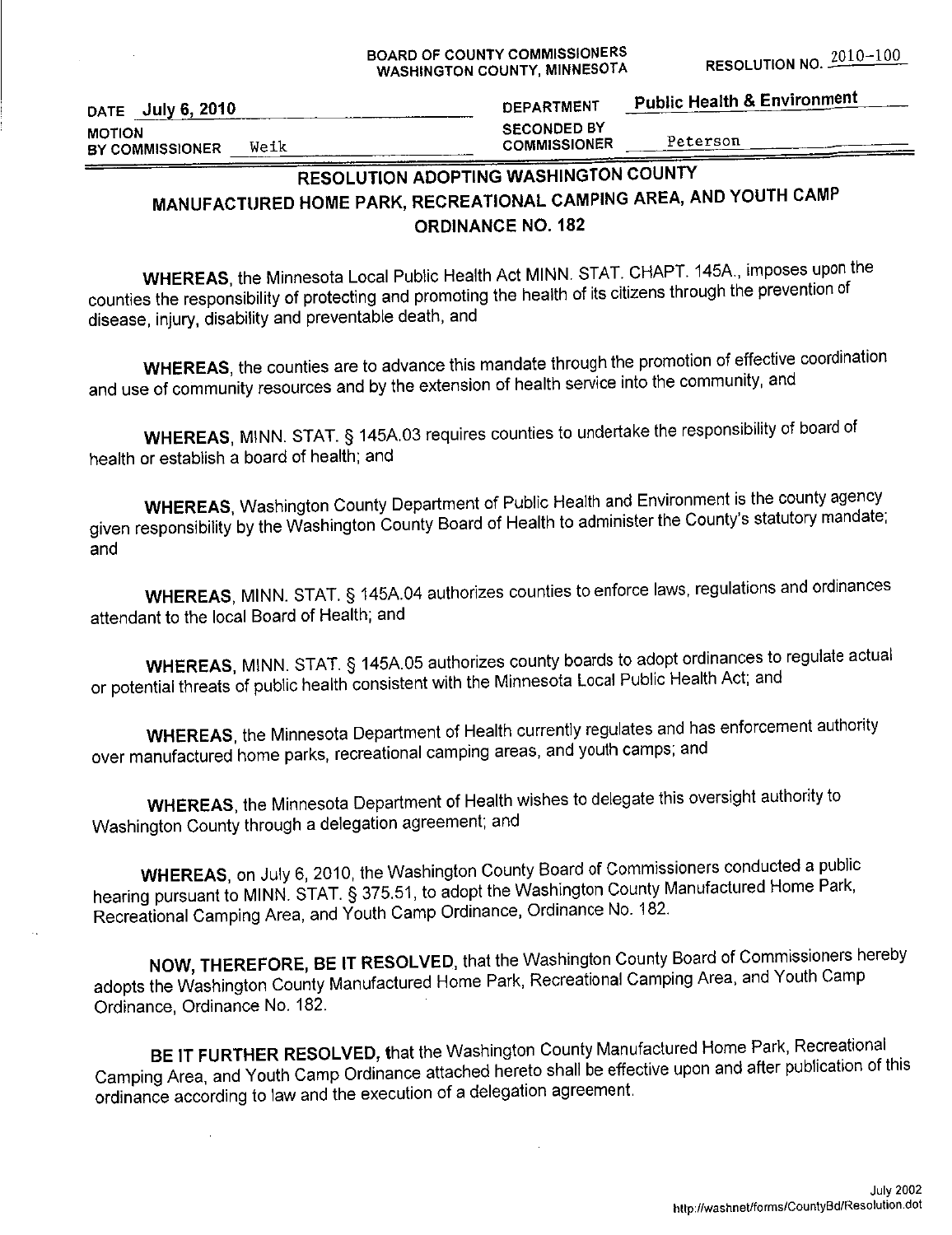DATE July 6, 2010 **MOTION** Weik BY COMMISSIONER

# RESOLUTION ADOPTING WASHINGTON COUNTY MANUFACTURED HOME PARK, RECREATIONAL CAMPING AREA, AND YOUTH CAMP **ORDINANCE NO. 182**

WHEREAS, the Minnesota Local Public Health Act MINN. STAT. CHAPT. 145A., imposes upon the counties the responsibility of protecting and promoting the health of its citizens through the prevention of disease, injury, disability and preventable death, and

WHEREAS, the counties are to advance this mandate through the promotion of effective coordination and use of community resources and by the extension of health service into the community, and

WHEREAS, MINN. STAT. § 145A.03 requires counties to undertake the responsibility of board of health or establish a board of health; and

WHEREAS, Washington County Department of Public Health and Environment is the county agency given responsibility by the Washington County Board of Health to administer the County's statutory mandate; and

WHEREAS, MINN. STAT. § 145A.04 authorizes counties to enforce laws, regulations and ordinances attendant to the local Board of Health; and

WHEREAS, MINN. STAT. § 145A.05 authorizes county boards to adopt ordinances to regulate actual or potential threats of public health consistent with the Minnesota Local Public Health Act; and

**WHEREAS**, the Minnesota Department of Health currently regulates and has enforcement authority over manufactured home parks, recreational camping areas, and youth camps; and

WHEREAS, the Minnesota Department of Health wishes to delegate this oversight authority to Washington County through a delegation agreement; and

WHEREAS, on July 6, 2010, the Washington County Board of Commissioners conducted a public hearing pursuant to MINN. STAT. § 375.51, to adopt the Washington County Manufactured Home Park, Recreational Camping Area, and Youth Camp Ordinance, Ordinance No. 182.

NOW, THEREFORE, BE IT RESOLVED, that the Washington County Board of Commissioners hereby adopts the Washington County Manufactured Home Park, Recreational Camping Area, and Youth Camp Ordinance, Ordinance No. 182.

BE IT FURTHER RESOLVED, that the Washington County Manufactured Home Park, Recreational Camping Area, and Youth Camp Ordinance attached hereto shall be effective upon and after publication of this ordinance according to law and the execution of a delegation agreement.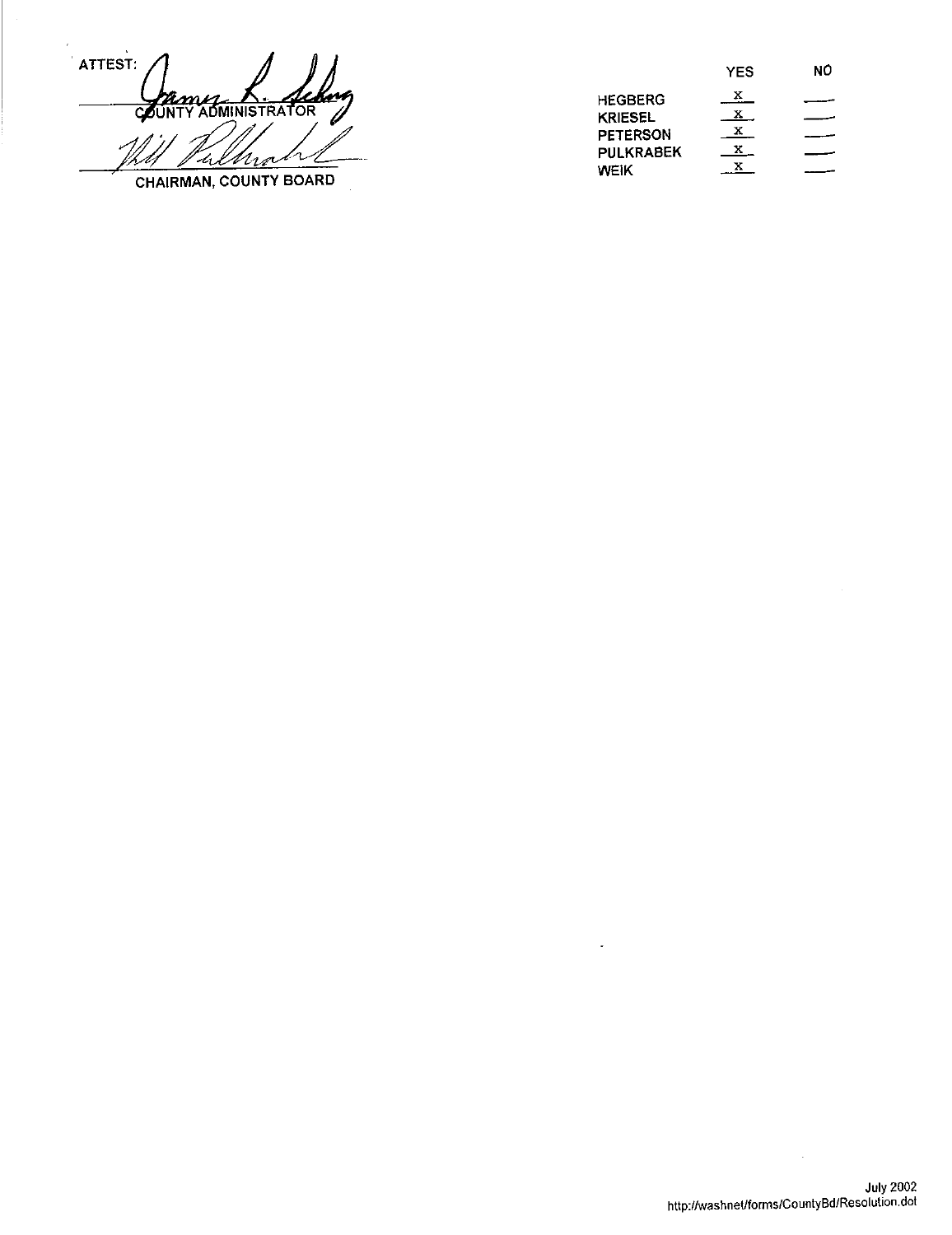ATTEST: COUNTY ADMINISTRATOR h -4 Mra CHAIRMAN, COUNTY BOARD

|                  | YES | NO |
|------------------|-----|----|
| <b>HEGBERG</b>   | х   |    |
| <b>KRIESEL</b>   |     |    |
| <b>PETERSON</b>  | х   |    |
| <b>PULKRABEK</b> | x.  |    |
| WEIK             |     |    |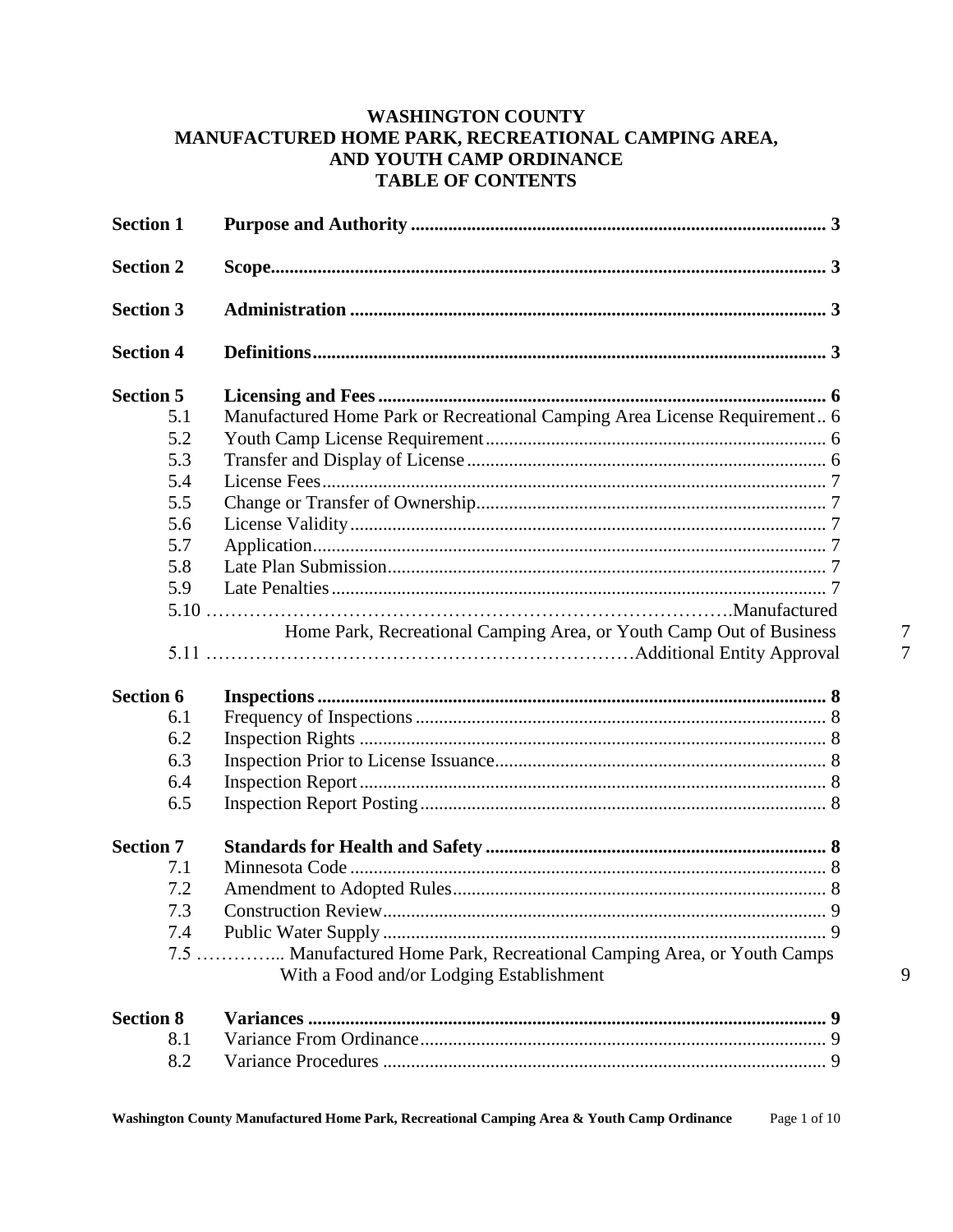# **WASHINGTON COUNTY** MANUFACTURED HOME PARK, RECREATIONAL CAMPING AREA, AND YOUTH CAMP ORDINANCE **TABLE OF CONTENTS**

| <b>Section 1</b> |                                                                                                                          |
|------------------|--------------------------------------------------------------------------------------------------------------------------|
| <b>Section 2</b> |                                                                                                                          |
| <b>Section 3</b> |                                                                                                                          |
| <b>Section 4</b> |                                                                                                                          |
| <b>Section 5</b> |                                                                                                                          |
| 5.1              | Manufactured Home Park or Recreational Camping Area License Requirement 6                                                |
| 5.2              |                                                                                                                          |
| 5.3              |                                                                                                                          |
| 5.4              |                                                                                                                          |
| 5.5              |                                                                                                                          |
| 5.6              |                                                                                                                          |
| 5.7              |                                                                                                                          |
| 5.8              |                                                                                                                          |
| 5.9              |                                                                                                                          |
|                  |                                                                                                                          |
| <b>Section 6</b> |                                                                                                                          |
| 6.1              |                                                                                                                          |
| 6.2              |                                                                                                                          |
| 6.3              |                                                                                                                          |
| 6.4              |                                                                                                                          |
| 6.5              |                                                                                                                          |
| <b>Section 7</b> |                                                                                                                          |
| 7.1              |                                                                                                                          |
| 7.2              |                                                                                                                          |
| 7.3              |                                                                                                                          |
| 7.4              |                                                                                                                          |
|                  | . Manufactured Home Park, Recreational Camping Area, or Youth Camps<br>$7.5$<br>With a Food and/or Lodging Establishment |
| <b>Section 8</b> |                                                                                                                          |
| 8.1              |                                                                                                                          |
| 8.2              |                                                                                                                          |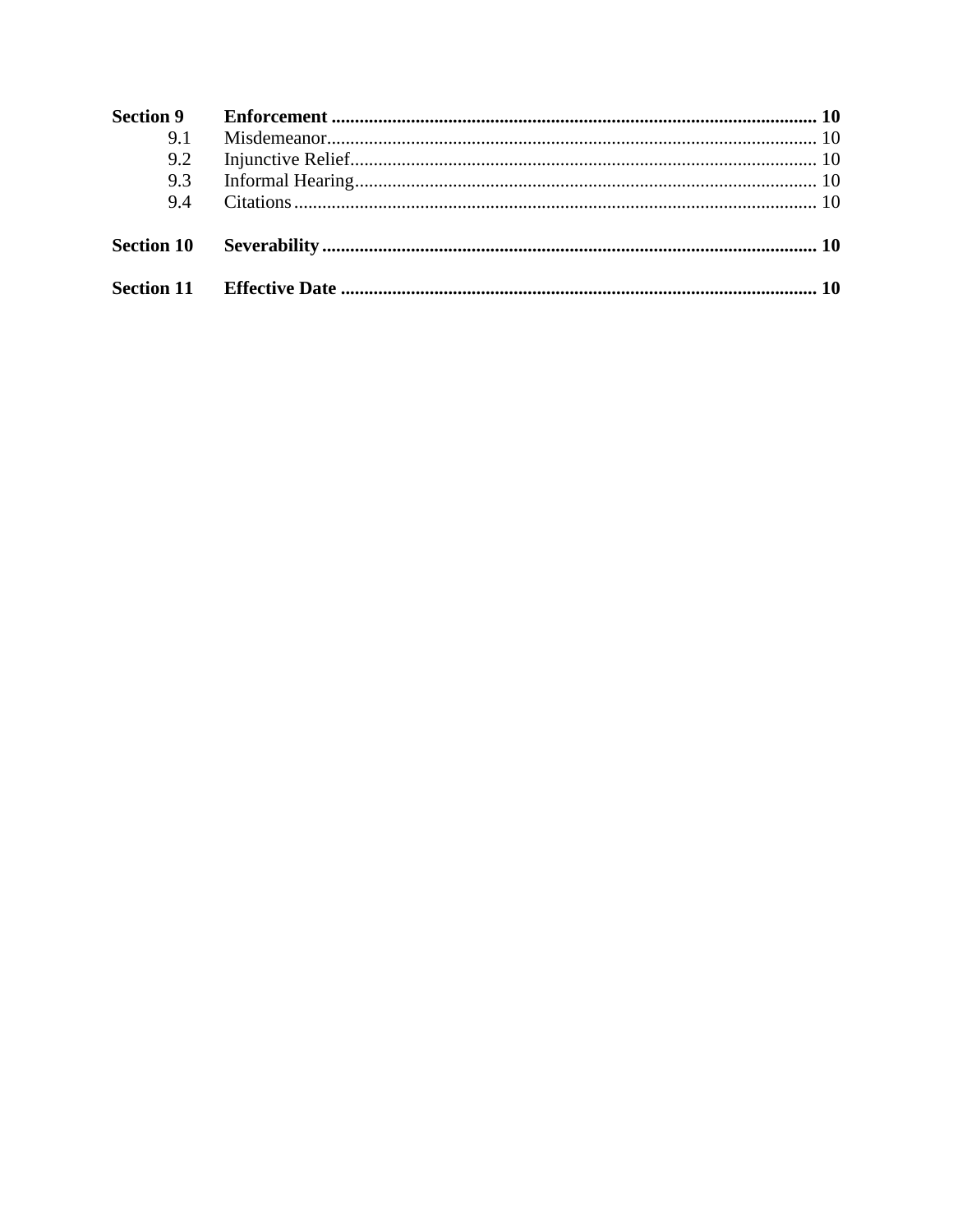| 9.1 |  |
|-----|--|
| 9.2 |  |
| 9.3 |  |
| 94  |  |
|     |  |
|     |  |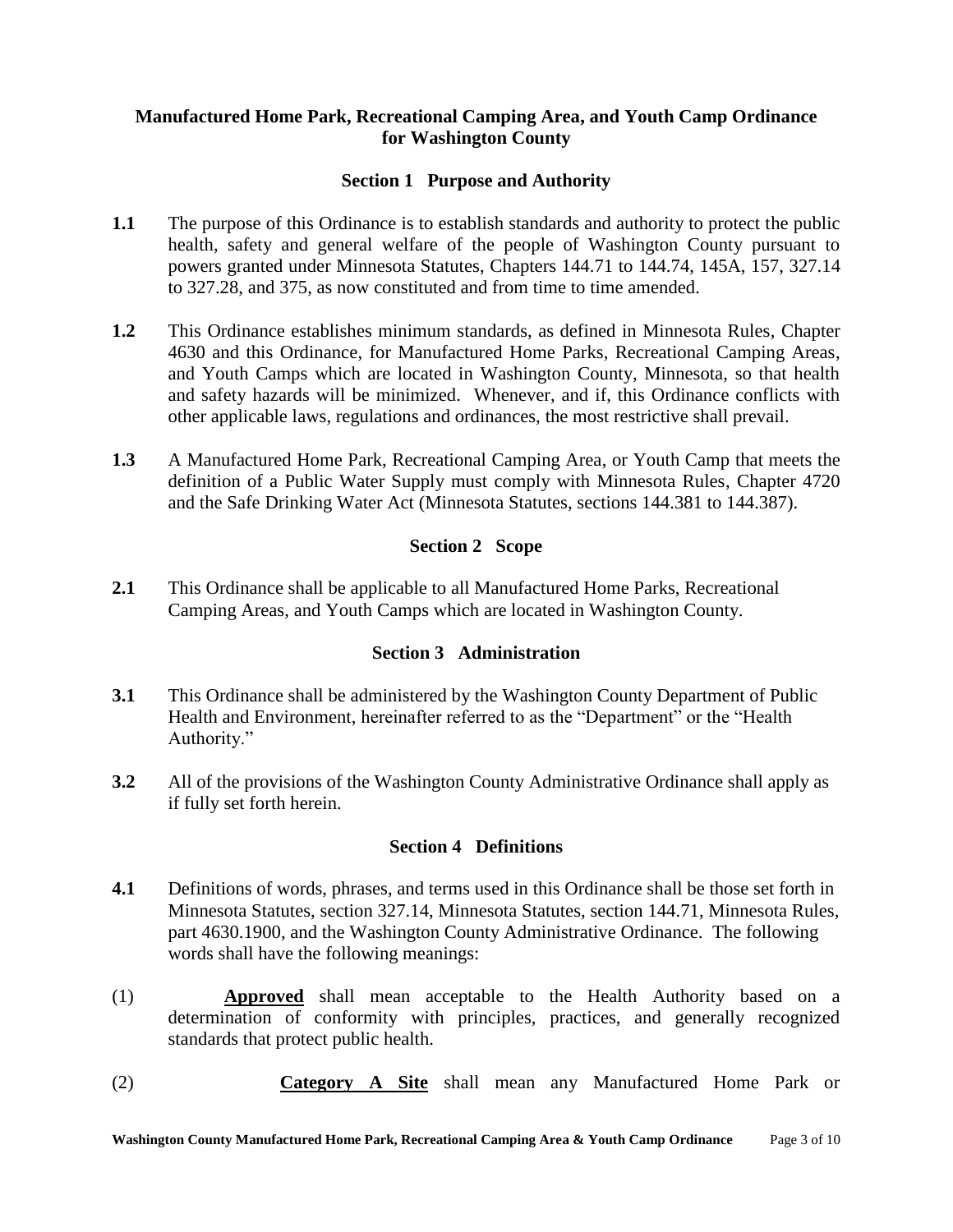## **Manufactured Home Park, Recreational Camping Area, and Youth Camp Ordinance for Washington County**

#### **Section 1 Purpose and Authority**

- **1.1** The purpose of this Ordinance is to establish standards and authority to protect the public health, safety and general welfare of the people of Washington County pursuant to powers granted under Minnesota Statutes, Chapters 144.71 to 144.74, 145A, 157, 327.14 to 327.28, and 375, as now constituted and from time to time amended.
- **1.2** This Ordinance establishes minimum standards, as defined in Minnesota Rules, Chapter 4630 and this Ordinance, for Manufactured Home Parks, Recreational Camping Areas, and Youth Camps which are located in Washington County, Minnesota, so that health and safety hazards will be minimized. Whenever, and if, this Ordinance conflicts with other applicable laws, regulations and ordinances, the most restrictive shall prevail.
- **1.3** A Manufactured Home Park, Recreational Camping Area, or Youth Camp that meets the definition of a Public Water Supply must comply with Minnesota Rules, Chapter 4720 and the Safe Drinking Water Act (Minnesota Statutes, sections 144.381 to 144.387).

### **Section 2 Scope**

**2.1** This Ordinance shall be applicable to all Manufactured Home Parks, Recreational Camping Areas, and Youth Camps which are located in Washington County.

# **Section 3 Administration**

- **3.1** This Ordinance shall be administered by the Washington County Department of Public Health and Environment, hereinafter referred to as the "Department" or the "Health Authority."
- **3.2** All of the provisions of the Washington County Administrative Ordinance shall apply as if fully set forth herein.

#### **Section 4 Definitions**

- **4.1** Definitions of words, phrases, and terms used in this Ordinance shall be those set forth in Minnesota Statutes, section 327.14, Minnesota Statutes, section 144.71, Minnesota Rules, part 4630.1900, and the Washington County Administrative Ordinance. The following words shall have the following meanings:
- (1) **Approved** shall mean acceptable to the Health Authority based on a determination of conformity with principles, practices, and generally recognized standards that protect public health.
- (2) **Category A Site** shall mean any Manufactured Home Park or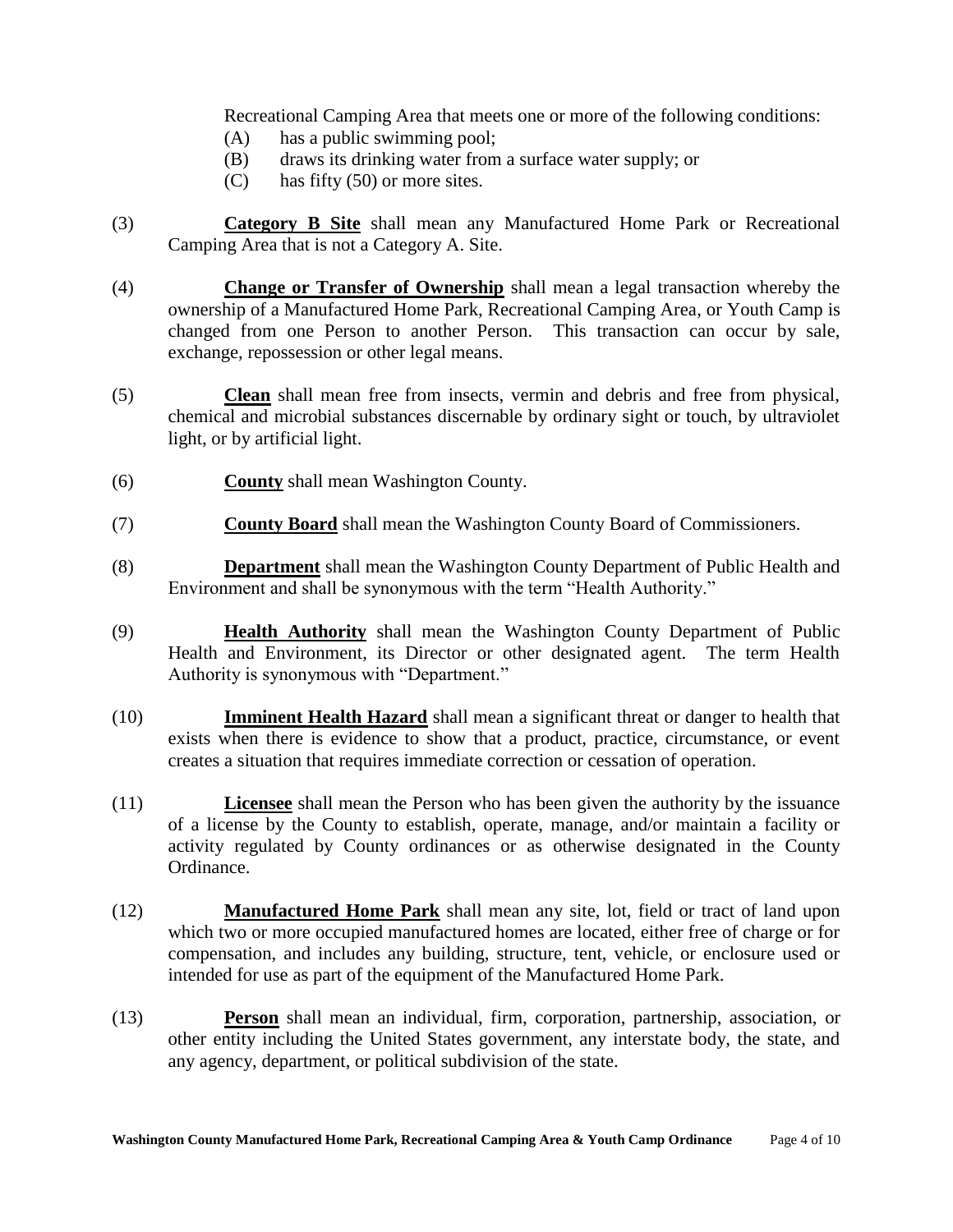Recreational Camping Area that meets one or more of the following conditions:

- (A) has a public swimming pool;
- (B) draws its drinking water from a surface water supply; or
- (C) has fifty (50) or more sites.
- (3) **Category B Site** shall mean any Manufactured Home Park or Recreational Camping Area that is not a Category A. Site.
- (4) **Change or Transfer of Ownership** shall mean a legal transaction whereby the ownership of a Manufactured Home Park, Recreational Camping Area, or Youth Camp is changed from one Person to another Person. This transaction can occur by sale, exchange, repossession or other legal means.
- (5) **Clean** shall mean free from insects, vermin and debris and free from physical, chemical and microbial substances discernable by ordinary sight or touch, by ultraviolet light, or by artificial light.
- (6) **County** shall mean Washington County.
- (7) **County Board** shall mean the Washington County Board of Commissioners.
- (8) **Department** shall mean the Washington County Department of Public Health and Environment and shall be synonymous with the term "Health Authority."
- (9) **Health Authority** shall mean the Washington County Department of Public Health and Environment, its Director or other designated agent. The term Health Authority is synonymous with "Department."
- (10) **Imminent Health Hazard** shall mean a significant threat or danger to health that exists when there is evidence to show that a product, practice, circumstance, or event creates a situation that requires immediate correction or cessation of operation.
- (11) **Licensee** shall mean the Person who has been given the authority by the issuance of a license by the County to establish, operate, manage, and/or maintain a facility or activity regulated by County ordinances or as otherwise designated in the County Ordinance.
- (12) **Manufactured Home Park** shall mean any site, lot, field or tract of land upon which two or more occupied manufactured homes are located, either free of charge or for compensation, and includes any building, structure, tent, vehicle, or enclosure used or intended for use as part of the equipment of the Manufactured Home Park.
- (13) **Person** shall mean an individual, firm, corporation, partnership, association, or other entity including the United States government, any interstate body, the state, and any agency, department, or political subdivision of the state.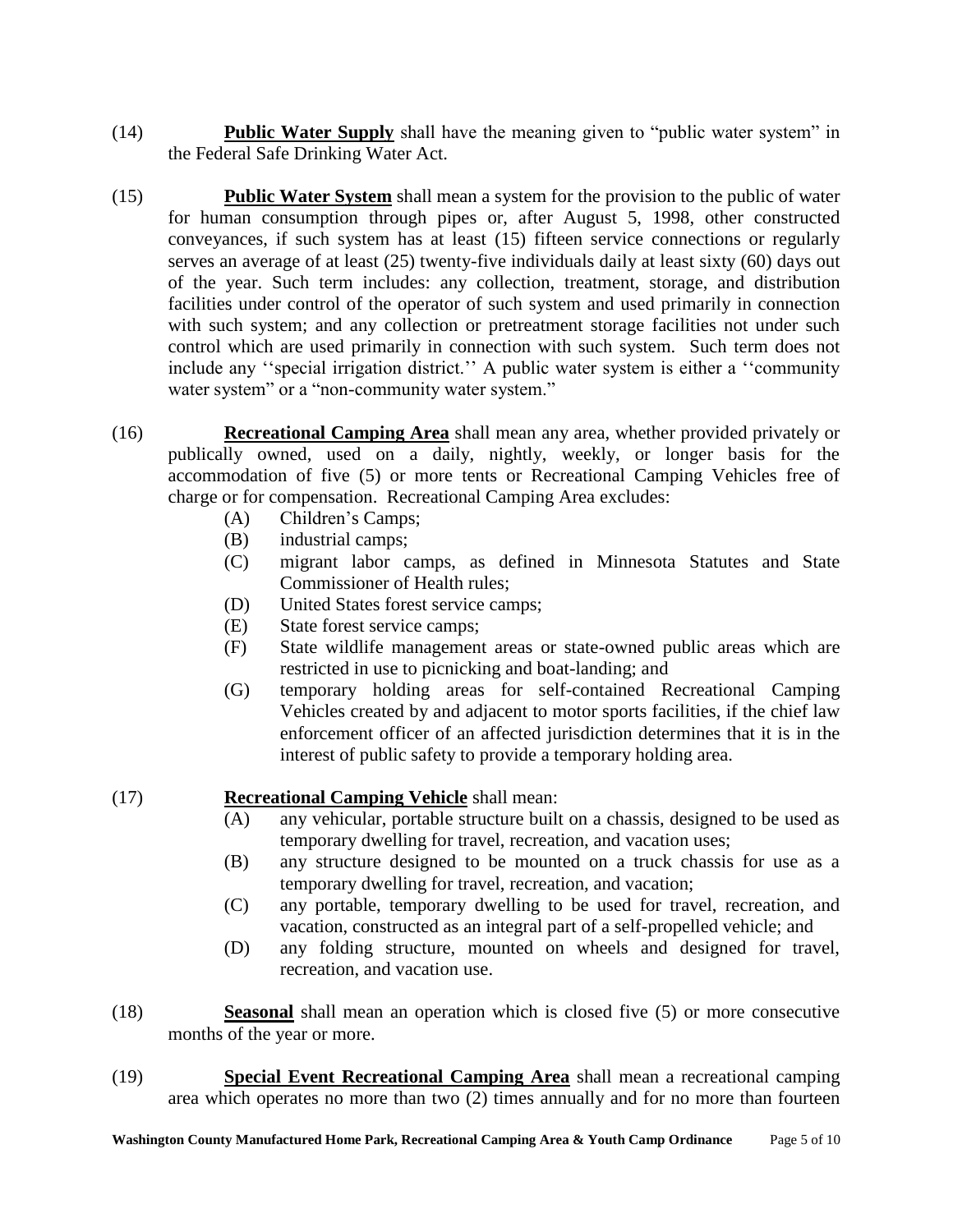- (14) **Public Water Supply** shall have the meaning given to "public water system" in the Federal Safe Drinking Water Act.
- (15) **Public Water System** shall mean a system for the provision to the public of water for human consumption through pipes or, after August 5, 1998, other constructed conveyances, if such system has at least (15) fifteen service connections or regularly serves an average of at least (25) twenty-five individuals daily at least sixty (60) days out of the year. Such term includes: any collection, treatment, storage, and distribution facilities under control of the operator of such system and used primarily in connection with such system; and any collection or pretreatment storage facilities not under such control which are used primarily in connection with such system. Such term does not include any "special irrigation district." A public water system is either a "community water system" or a "non-community water system."
- (16) **Recreational Camping Area** shall mean any area, whether provided privately or publically owned, used on a daily, nightly, weekly, or longer basis for the accommodation of five (5) or more tents or Recreational Camping Vehicles free of charge or for compensation. Recreational Camping Area excludes:
	- (A) Children"s Camps;
	- (B) industrial camps;
	- (C) migrant labor camps, as defined in Minnesota Statutes and State Commissioner of Health rules;
	- (D) United States forest service camps;
	- (E) State forest service camps;
	- (F) State wildlife management areas or state-owned public areas which are restricted in use to picnicking and boat-landing; and
	- (G) temporary holding areas for self-contained Recreational Camping Vehicles created by and adjacent to motor sports facilities, if the chief law enforcement officer of an affected jurisdiction determines that it is in the interest of public safety to provide a temporary holding area.

# (17) **Recreational Camping Vehicle** shall mean:

- (A) any vehicular, portable structure built on a chassis, designed to be used as temporary dwelling for travel, recreation, and vacation uses;
- (B) any structure designed to be mounted on a truck chassis for use as a temporary dwelling for travel, recreation, and vacation;
- (C) any portable, temporary dwelling to be used for travel, recreation, and vacation, constructed as an integral part of a self-propelled vehicle; and
- (D) any folding structure, mounted on wheels and designed for travel, recreation, and vacation use.
- (18) **Seasonal** shall mean an operation which is closed five (5) or more consecutive months of the year or more.
- (19) **Special Event Recreational Camping Area** shall mean a recreational camping area which operates no more than two (2) times annually and for no more than fourteen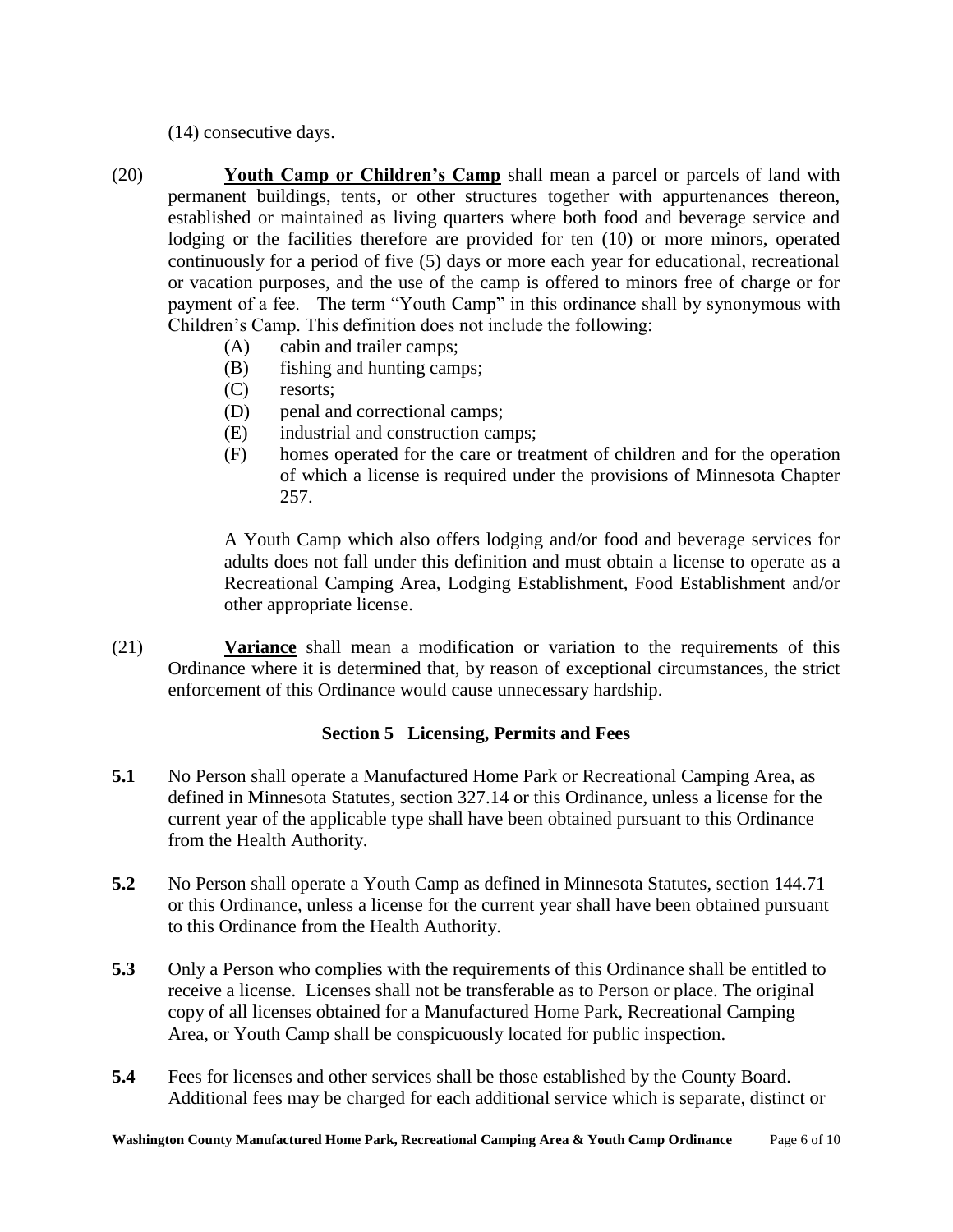(14) consecutive days.

(20) **Youth Camp or Children's Camp** shall mean a parcel or parcels of land with permanent buildings, tents, or other structures together with appurtenances thereon, established or maintained as living quarters where both food and beverage service and lodging or the facilities therefore are provided for ten (10) or more minors, operated continuously for a period of five (5) days or more each year for educational, recreational or vacation purposes, and the use of the camp is offered to minors free of charge or for payment of a fee. The term "Youth Camp" in this ordinance shall by synonymous with Children"s Camp. This definition does not include the following:

- (A) cabin and trailer camps;
- (B) fishing and hunting camps;
- (C) resorts;
- (D) penal and correctional camps;
- (E) industrial and construction camps;
- (F) homes operated for the care or treatment of children and for the operation of which a license is required under the provisions of Minnesota Chapter 257.

A Youth Camp which also offers lodging and/or food and beverage services for adults does not fall under this definition and must obtain a license to operate as a Recreational Camping Area, Lodging Establishment, Food Establishment and/or other appropriate license.

(21) **Variance** shall mean a modification or variation to the requirements of this Ordinance where it is determined that, by reason of exceptional circumstances, the strict enforcement of this Ordinance would cause unnecessary hardship.

#### **Section 5 Licensing, Permits and Fees**

- **5.1** No Person shall operate a Manufactured Home Park or Recreational Camping Area, as defined in Minnesota Statutes, section 327.14 or this Ordinance, unless a license for the current year of the applicable type shall have been obtained pursuant to this Ordinance from the Health Authority.
- **5.2** No Person shall operate a Youth Camp as defined in Minnesota Statutes, section 144.71 or this Ordinance, unless a license for the current year shall have been obtained pursuant to this Ordinance from the Health Authority.
- **5.3** Only a Person who complies with the requirements of this Ordinance shall be entitled to receive a license. Licenses shall not be transferable as to Person or place. The original copy of all licenses obtained for a Manufactured Home Park, Recreational Camping Area, or Youth Camp shall be conspicuously located for public inspection.
- **5.4** Fees for licenses and other services shall be those established by the County Board. Additional fees may be charged for each additional service which is separate, distinct or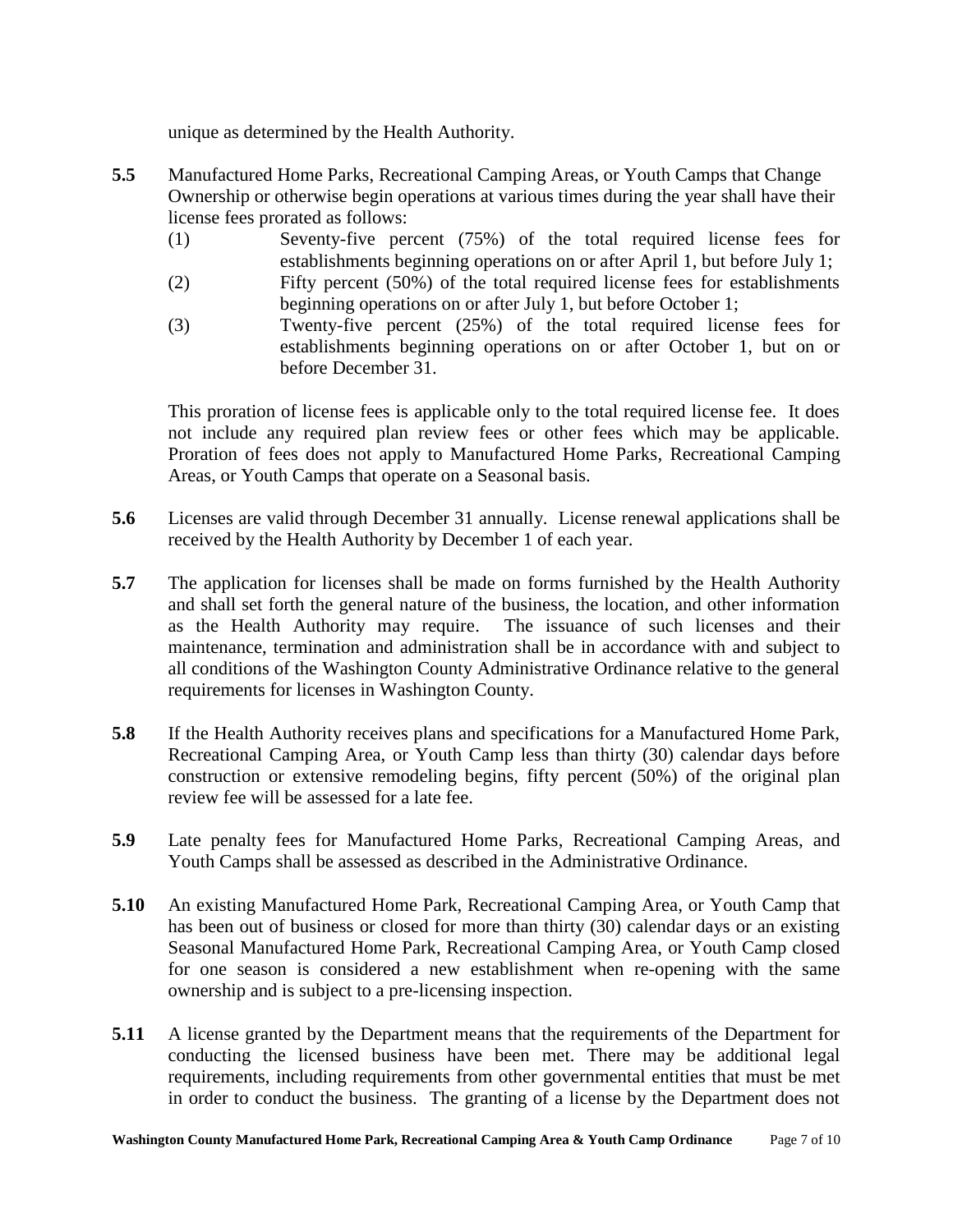unique as determined by the Health Authority.

- **5.5** Manufactured Home Parks, Recreational Camping Areas, or Youth Camps that Change Ownership or otherwise begin operations at various times during the year shall have their license fees prorated as follows:
	- (1) Seventy-five percent (75%) of the total required license fees for establishments beginning operations on or after April 1, but before July 1;
	- (2) Fifty percent (50%) of the total required license fees for establishments beginning operations on or after July 1, but before October 1;
	- (3) Twenty-five percent (25%) of the total required license fees for establishments beginning operations on or after October 1, but on or before December 31.

This proration of license fees is applicable only to the total required license fee. It does not include any required plan review fees or other fees which may be applicable. Proration of fees does not apply to Manufactured Home Parks, Recreational Camping Areas, or Youth Camps that operate on a Seasonal basis.

- **5.6** Licenses are valid through December 31 annually. License renewal applications shall be received by the Health Authority by December 1 of each year.
- **5.7** The application for licenses shall be made on forms furnished by the Health Authority and shall set forth the general nature of the business, the location, and other information as the Health Authority may require. The issuance of such licenses and their maintenance, termination and administration shall be in accordance with and subject to all conditions of the Washington County Administrative Ordinance relative to the general requirements for licenses in Washington County.
- **5.8** If the Health Authority receives plans and specifications for a Manufactured Home Park, Recreational Camping Area, or Youth Camp less than thirty (30) calendar days before construction or extensive remodeling begins, fifty percent (50%) of the original plan review fee will be assessed for a late fee.
- **5.9** Late penalty fees for Manufactured Home Parks, Recreational Camping Areas, and Youth Camps shall be assessed as described in the Administrative Ordinance.
- **5.10** An existing Manufactured Home Park, Recreational Camping Area, or Youth Camp that has been out of business or closed for more than thirty (30) calendar days or an existing Seasonal Manufactured Home Park, Recreational Camping Area, or Youth Camp closed for one season is considered a new establishment when re-opening with the same ownership and is subject to a pre-licensing inspection.
- **5.11** A license granted by the Department means that the requirements of the Department for conducting the licensed business have been met. There may be additional legal requirements, including requirements from other governmental entities that must be met in order to conduct the business. The granting of a license by the Department does not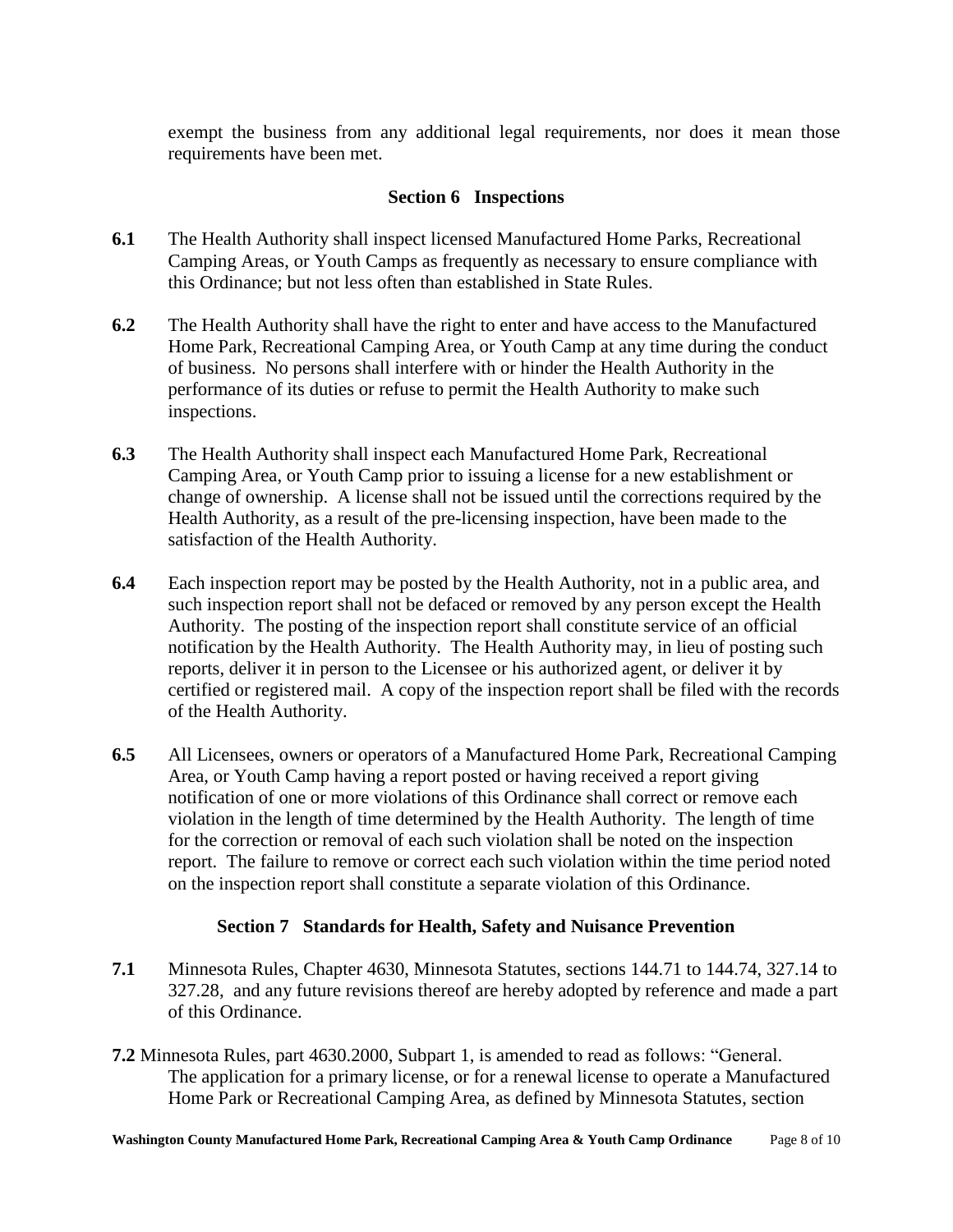exempt the business from any additional legal requirements, nor does it mean those requirements have been met.

## **Section 6 Inspections**

- **6.1** The Health Authority shall inspect licensed Manufactured Home Parks, Recreational Camping Areas, or Youth Camps as frequently as necessary to ensure compliance with this Ordinance; but not less often than established in State Rules.
- **6.2** The Health Authority shall have the right to enter and have access to the Manufactured Home Park, Recreational Camping Area, or Youth Camp at any time during the conduct of business. No persons shall interfere with or hinder the Health Authority in the performance of its duties or refuse to permit the Health Authority to make such inspections.
- **6.3** The Health Authority shall inspect each Manufactured Home Park, Recreational Camping Area, or Youth Camp prior to issuing a license for a new establishment or change of ownership. A license shall not be issued until the corrections required by the Health Authority, as a result of the pre-licensing inspection, have been made to the satisfaction of the Health Authority.
- **6.4** Each inspection report may be posted by the Health Authority, not in a public area, and such inspection report shall not be defaced or removed by any person except the Health Authority. The posting of the inspection report shall constitute service of an official notification by the Health Authority. The Health Authority may, in lieu of posting such reports, deliver it in person to the Licensee or his authorized agent, or deliver it by certified or registered mail. A copy of the inspection report shall be filed with the records of the Health Authority.
- **6.5** All Licensees, owners or operators of a Manufactured Home Park, Recreational Camping Area, or Youth Camp having a report posted or having received a report giving notification of one or more violations of this Ordinance shall correct or remove each violation in the length of time determined by the Health Authority. The length of time for the correction or removal of each such violation shall be noted on the inspection report. The failure to remove or correct each such violation within the time period noted on the inspection report shall constitute a separate violation of this Ordinance.

# **Section 7 Standards for Health, Safety and Nuisance Prevention**

- **7.1** Minnesota Rules, Chapter 4630, Minnesota Statutes, sections 144.71 to 144.74, 327.14 to 327.28, and any future revisions thereof are hereby adopted by reference and made a part of this Ordinance.
- **7.2** Minnesota Rules, part 4630.2000, Subpart 1, is amended to read as follows: "General. The application for a primary license, or for a renewal license to operate a Manufactured Home Park or Recreational Camping Area, as defined by Minnesota Statutes, section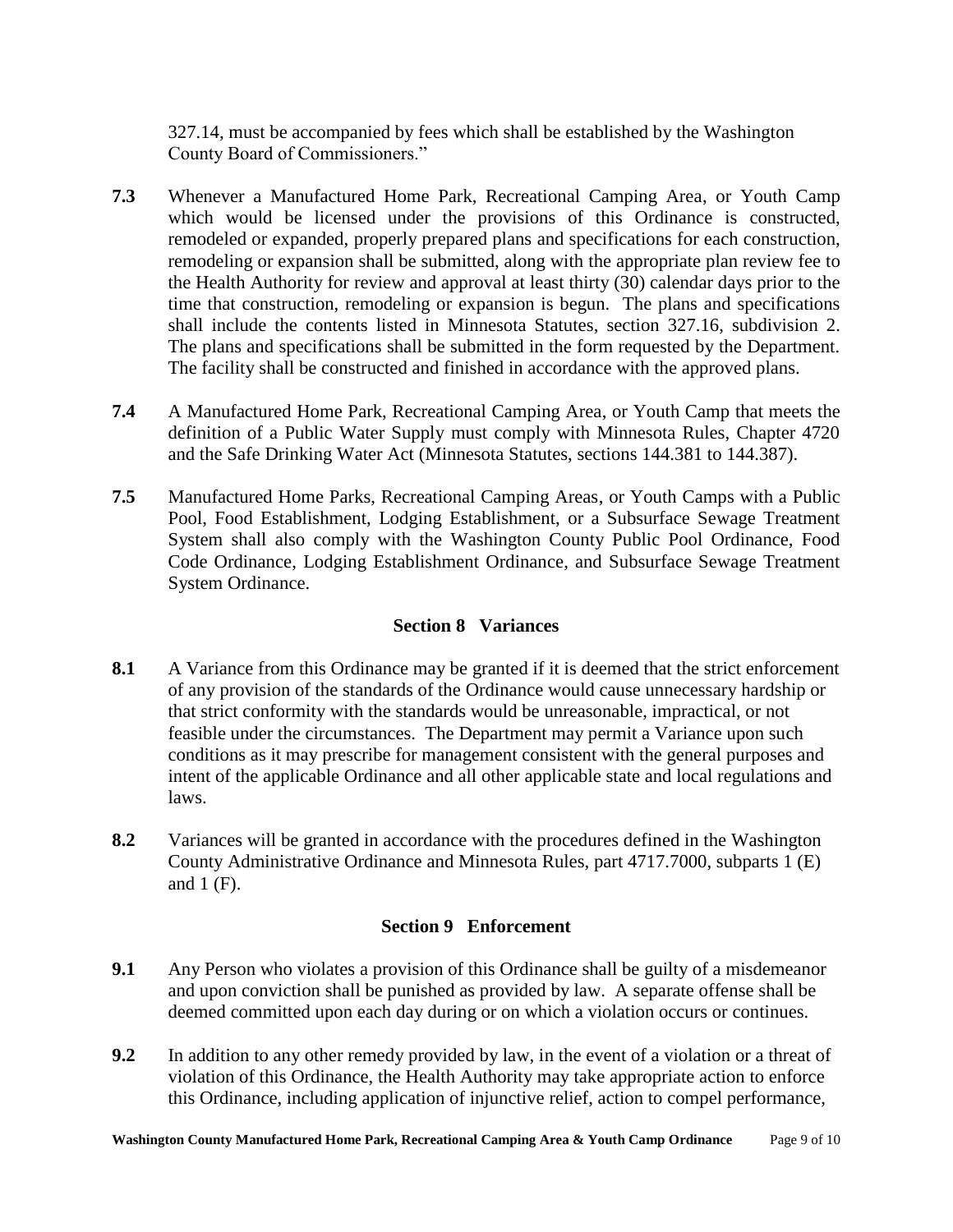327.14, must be accompanied by fees which shall be established by the Washington County Board of Commissioners."

- **7.3** Whenever a Manufactured Home Park, Recreational Camping Area, or Youth Camp which would be licensed under the provisions of this Ordinance is constructed, remodeled or expanded, properly prepared plans and specifications for each construction, remodeling or expansion shall be submitted, along with the appropriate plan review fee to the Health Authority for review and approval at least thirty (30) calendar days prior to the time that construction, remodeling or expansion is begun. The plans and specifications shall include the contents listed in Minnesota Statutes, section 327.16, subdivision 2. The plans and specifications shall be submitted in the form requested by the Department. The facility shall be constructed and finished in accordance with the approved plans.
- **7.4** A Manufactured Home Park, Recreational Camping Area, or Youth Camp that meets the definition of a Public Water Supply must comply with Minnesota Rules, Chapter 4720 and the Safe Drinking Water Act (Minnesota Statutes, sections 144.381 to 144.387).
- **7.5** Manufactured Home Parks, Recreational Camping Areas, or Youth Camps with a Public Pool, Food Establishment, Lodging Establishment, or a Subsurface Sewage Treatment System shall also comply with the Washington County Public Pool Ordinance, Food Code Ordinance, Lodging Establishment Ordinance, and Subsurface Sewage Treatment System Ordinance.

## **Section 8 Variances**

- **8.1** A Variance from this Ordinance may be granted if it is deemed that the strict enforcement of any provision of the standards of the Ordinance would cause unnecessary hardship or that strict conformity with the standards would be unreasonable, impractical, or not feasible under the circumstances. The Department may permit a Variance upon such conditions as it may prescribe for management consistent with the general purposes and intent of the applicable Ordinance and all other applicable state and local regulations and laws.
- **8.2** Variances will be granted in accordance with the procedures defined in the Washington County Administrative Ordinance and Minnesota Rules, part 4717.7000, subparts 1 (E) and 1 (F).

# **Section 9 Enforcement**

- **9.1** Any Person who violates a provision of this Ordinance shall be guilty of a misdemeanor and upon conviction shall be punished as provided by law. A separate offense shall be deemed committed upon each day during or on which a violation occurs or continues.
- **9.2** In addition to any other remedy provided by law, in the event of a violation or a threat of violation of this Ordinance, the Health Authority may take appropriate action to enforce this Ordinance, including application of injunctive relief, action to compel performance,